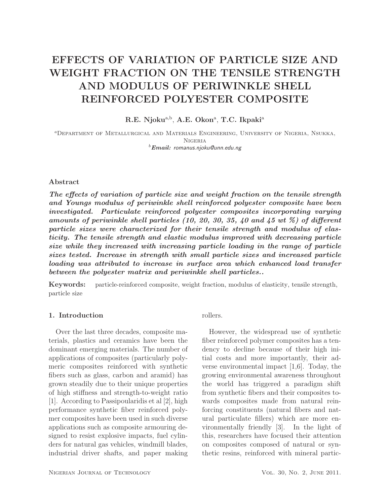# EFFECTS OF VARIATION OF PARTICLE SIZE AND WEIGHT FRACTION ON THE TENSILE STRENGTH AND MODULUS OF PERIWINKLE SHELL REINFORCED POLYESTER COMPOSITE

R.E. Njoku<sup>a,b</sup>, A.E. Okon<sup>a</sup>, T.C. Ikpaki<sup>a</sup>

<sup>a</sup>Department of Metallurgical and Materials Engineering, University of Nigeria, Nsukka, Nigeria <sup>b</sup>*Email:* romanus.njoku@unn.edu.ng

## Abstract

*The effects of variation of particle size and weight fraction on the tensile strength and Youngs modulus of periwinkle shell reinforced polyester composite have been investigated. Particulate reinforced polyester composites incorporating varying amounts of periwinkle shell particles (10, 20, 30, 35, 40 and 45 wt %) of different particle sizes were characterized for their tensile strength and modulus of elasticity. The tensile strength and elastic modulus improved with decreasing particle size while they increased with increasing particle loading in the range of particle sizes tested. Increase in strength with small particle sizes and increased particle loading was attributed to increase in surface area which enhanced load transfer between the polyester matrix and periwinkle shell particles..*

Keywords: particle-reinforced composite, weight fraction, modulus of elasticity, tensile strength, particle size

## 1. Introduction

Over the last three decades, composite materials, plastics and ceramics have been the dominant emerging materials. The number of applications of composites (particularly polymeric composites reinforced with synthetic fibers such as glass, carbon and aramid) has grown steadily due to their unique properties of high stiffness and strength-to-weight ratio [1]. According to Passipoularidis et al [2], high performance synthetic fiber reinforced polymer composites have been used in such diverse applications such as composite armouring designed to resist explosive impacts, fuel cylinders for natural gas vehicles, windmill blades, industrial driver shafts, and paper making

## rollers.

However, the widespread use of synthetic fiber reinforced polymer composites has a tendency to decline because of their high initial costs and more importantly, their adverse environmental impact [1,6]. Today, the growing environmental awareness throughout the world has triggered a paradigm shift from synthetic fibers and their composites towards composites made from natural reinforcing constituents (natural fibers and natural particulate fillers) which are more environmentally friendly [3]. In the light of this, researchers have focused their attention on composites composed of natural or synthetic resins, reinforced with mineral partic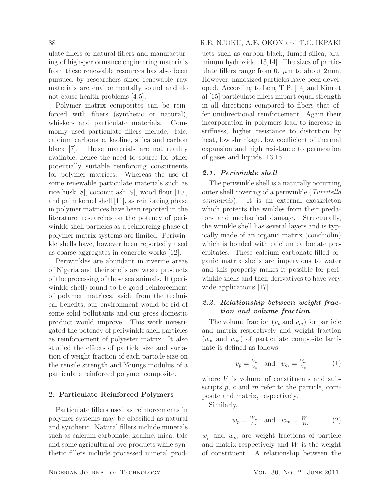ulate fillers or natural fibers and manufacturing of high-performance engineering materials from these renewable resources has also been pursued by researchers since renewable raw materials are environmentally sound and do not cause health problems [4,5].

Polymer matrix composites can be reinforced with fibers (synthetic or natural), whiskers and particulate materials. Commonly used particulate fillers include: talc, calcium carbonate, kaoline, silica and carbon black [7]. These materials are not readily available, hence the need to source for other potentially suitable reinforcing constituents for polymer matrices. Whereas the use of some renewable particulate materials such as rice husk [8], coconut ash [9], wood flour [10], and palm kernel shell [11], as reinforcing phase in polymer matrices have been reported in the literature, researches on the potency of periwinkle shell particles as a reinforcing phase of polymer matrix systems are limited. Periwinkle shells have, however been reportedly used as coarse aggregates in concrete works [12].

Periwinkles are abundant in riverine areas of Nigeria and their shells are waste products of the processing of these sea animals. If (periwinkle shell) found to be good reinforcement of polymer matrices, aside from the technical benefits, our environment would be rid of some solid pollutants and our gross domestic product would improve. This work investigated the potency of periwinkle shell particles as reinforcement of polyester matrix. It also studied the effects of particle size and variation of weight fraction of each particle size on the tensile strength and Youngs modulus of a particulate reinforced polymer composite.

#### 2. Particulate Reinforced Polymers

Particulate fillers used as reinforcements in polymer systems may be classified as natural and synthetic. Natural fillers include minerals such as calcium carbonate, koaline, mica, talc and some agricultural bye-products while synthetic fillers include processed mineral prod-

# 88 R.E. NJOKU, A.E. OKON and T.C. IKPAKI

ucts such as carbon black, fumed silica, aluminum hydroxide [13,14]. The sizes of particulate fillers range from  $0.1\mu$ m to about 2mm. However, nanosized particles have been developed. According to Leng T.P. [14] and Kim et al [15] particulate fillers impart equal strength in all directions compared to fibers that offer unidirectional reinforcement. Again their incorporation in polymers lead to increase in stiffness, higher resistance to distortion by heat, low shrinkage, low coefficient of thermal expansion and high resistance to permeation of gases and liquids [13,15].

#### *2.1. Periwinkle shell*

The periwinkle shell is a naturally occurring outer shell covering of a periwinkle (Turritella communis). It is an external exoskeleton which protects the winkles from their predators and mechanical damage. Structurally, the wrinkle shell has several layers and is typically made of an organic matrix (conchiolin) which is bonded with calcium carbonate precipitates. These calcium carbonate-filled organic matrix shells are impervious to water and this property makes it possible for periwinkle shells and their derivatives to have very wide applications [17].

# *2.2. Relationship between weight fraction and volume fraction*

The volume fraction  $(v_p \text{ and } v_m)$  for particle and matrix respectively and weight fraction  $(w_p \text{ and } w_m)$  of particulate composite laminate is defined as follows:

$$
v_p = \frac{V_p}{V_c} \quad \text{and} \quad v_m = \frac{V_m}{V_c} \tag{1}
$$

where  $V$  is volume of constituents and subscripts  $p$ ,  $c$  and  $m$  refer to the particle, composite and matrix, respectively.

Similarly,

$$
w_p = \frac{W_p}{W_c} \quad \text{and} \quad w_m = \frac{W_m}{W_c} \tag{2}
$$

 $w_p$  and  $w_m$  are weight fractions of particle and matrix respectively and  $W$  is the weight of constituent. A relationship between the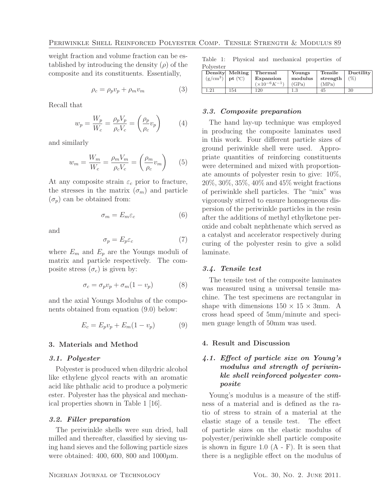weight fraction and volume fraction can be established by introducing the density  $(\rho)$  of the composite and its constituents. Essentially,

$$
\rho_c = \rho_p v_p + \rho_m v_m \tag{3}
$$

Recall that

$$
w_p = \frac{W_p}{W_c} = \frac{\rho_p V_p}{\rho_c V_c} = \left(\frac{\rho_p}{\rho_c} v_p\right) \tag{4}
$$

and similarly

$$
w_m = \frac{W_m}{W_c} = \frac{\rho_m V_m}{\rho_c V_c} = \left(\frac{\rho_m}{\rho_c} v_m\right) \tag{5}
$$

At any composite strain  $\varepsilon_c$  prior to fracture, the stresses in the matrix  $(\sigma_m)$  and particle  $(\sigma_p)$  can be obtained from:

$$
\sigma_m = E_m \varepsilon_c \tag{6}
$$

and

$$
\sigma_p = E_p \varepsilon_c \tag{7}
$$

where  $E_m$  and  $E_p$  are the Youngs moduli of matrix and particle respectively. The composite stress  $(\sigma_c)$  is given by:

$$
\sigma_c = \sigma_p v_p + \sigma_m (1 - v_p) \tag{8}
$$

and the axial Youngs Modulus of the components obtained from equation (9.0) below:

$$
E_c = E_p v_p + E_m (1 - v_p)
$$
 (9)

#### 3. Materials and Method

#### *3.1. Polyester*

Polyester is produced when dihydric alcohol like ethylene glycol reacts with an aromatic acid like phthalic acid to produce a polymeric ester. Polyester has the physical and mechanical properties shown in Table 1 [16].

#### *3.2. Filler preparation*

The periwinkle shells were sun dried, ball milled and thereafter, classified by sieving using hand sieves and the following particle sizes were obtained: 400, 600, 800 and  $1000 \mu m$ .

Table 1: Physical and mechanical properties of Polyester

|                    | Density Melting | Thermal            | Youngs  | Tensile  | Ductility |
|--------------------|-----------------|--------------------|---------|----------|-----------|
| $(g/cm^3)$ pt (°C) |                 | Expansion          | modulus | strength | (%)       |
|                    |                 | $(x10^{-6}K^{-1})$ | (GPa)   | (MPa)    |           |
| - 21               | 154             | 120                |         | 45       | 30        |

#### *3.3. Composite preparation*

The hand lay-up technique was employed in producing the composite laminates used in this work. Four different particle sizes of ground periwinkle shell were used. Appropriate quantities of reinforcing constituents were determined and mixed with proportionate amounts of polyester resin to give: 10%, 20%, 30%, 35%, 40% and 45% weight fractions of periwinkle shell particles. The "mix" was vigorously stirred to ensure homogeneous dispersion of the periwinkle particles in the resin after the additions of methyl ethylketone peroxide and cobalt nephthenate which served as a catalyst and accelerator respectively during curing of the polyester resin to give a solid laminate.

#### *3.4. Tensile test*

The tensile test of the composite laminates was measured using a universal tensile machine. The test specimens are rectangular in shape with dimensions  $150 \times 15 \times 3$ mm. A cross head speed of 5mm/minute and specimen guage length of 50mm was used.

#### 4. Result and Discussion

# *4.1. Effect of particle size on Young's modulus and strength of periwinkle shell reinforced polyester composite*

Young's modulus is a measure of the stiffness of a material and is defined as the ratio of stress to strain of a material at the elastic stage of a tensile test. The effect of particle sizes on the elastic modulus of polyester/periwinkle shell particle composite is shown in figure 1.0  $(A - F)$ . It is seen that there is a negligible effect on the modulus of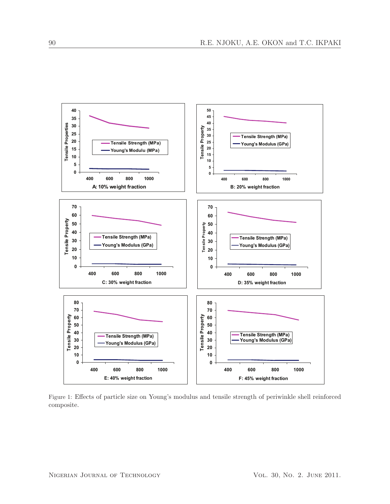

Figure 1: Effects of particle size on Young's modulus and tensile strength of periwinkle shell reinforced composite.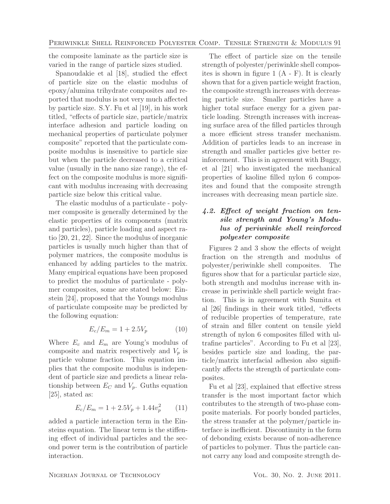the composite laminate as the particle size is varied in the range of particle sizes studied.

Spanoudakie et al [18], studied the effect of particle size on the elastic modulus of epoxy/alumina trihydrate composites and reported that modulus is not very much affected by particle size. S.Y. Fu et al [19], in his work titled, "effects of particle size, particle/matrix interface adhesion and particle loading on mechanical properties of particulate polymer composite" reported that the particulate composite modulus is insensitive to particle size but when the particle decreased to a critical value (usually in the nano size range), the effect on the composite modulus is more significant with modulus increasing with decreasing particle size below this critical value.

The elastic modulus of a particulate - polymer composite is generally determined by the elastic properties of its components (matrix and particles), particle loading and aspect ratio [20, 21, 22]. Since the modulus of inorganic particles is usually much higher than that of polymer matrices, the composite modulus is enhanced by adding particles to the matrix. Many empirical equations have been proposed to predict the modulus of particulate - polymer composites, some are stated below: Einstein [24], proposed that the Youngs modulus of particulate composite may be predicted by the following equation:

$$
E_c/E_m = 1 + 2.5V_p \tag{10}
$$

Where  $E_c$  and  $E_m$  are Young's modulus of composite and matrix respectively and  $V_p$  is particle volume fraction. This equation implies that the composite modulus is independent of particle size and predicts a linear relationship between  $E_C$  and  $V_p$ . Guths equation [25], stated as:

$$
E_c/E_m = 1 + 2.5V_p + 1.44v_p^2 \tag{11}
$$

added a particle interaction term in the Einsteins equation. The linear term is the stiffening effect of individual particles and the second power term is the contribution of particle interaction.

The effect of particle size on the tensile strength of polyester/periwinkle shell composites is shown in figure 1 (A - F). It is clearly shown that for a given particle weight fraction, the composite strength increases with decreasing particle size. Smaller particles have a higher total surface energy for a given particle loading. Strength increases with increasing surface area of the filled particles through a more efficient stress transfer mechanism. Addition of particles leads to an increase in strength and smaller particles give better reinforcement. This is in agreement with Buggy, et al [21] who investigated the mechanical properties of kaoline filled nylon 6 composites and found that the composite strength increases with decreasing mean particle size.

# *4.2. Effect of weight fraction on tensile strength and Young's Modulus of periwinkle shell reinforced polyester composite*

Figures 2 and 3 show the effects of weight fraction on the strength and modulus of polyester/periwinkle shell composites. The figures show that for a particular particle size, both strength and modulus increase with increase in periwinkle shell particle weight fraction. This is in agreement with Sumita et al [26] findings in their work titled, "effects of reducible properties of temperature, rate of strain and filler content on tensile yield strength of nylon 6 composites filled with ultrafine particles". According to Fu et al [23], besides particle size and loading, the particle/matrix interfacial adhesion also significantly affects the strength of particulate composites.

Fu et al [23], explained that effective stress transfer is the most important factor which contributes to the strength of two-phase composite materials. For poorly bonded particles, the stress transfer at the polymer/particle interface is inefficient. Discontinuity in the form of debonding exists because of non-adherence of particles to polymer. Thus the particle cannot carry any load and composite strength de-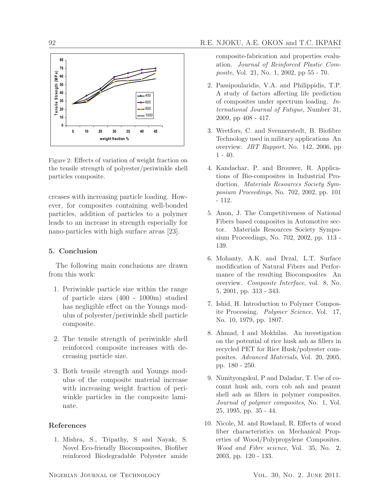

Figure 2: Effects of variation of weight fraction on the tensile strength of polyester/periwinkle shell particles composite.

creases with increasing particle loading. However, for composites containing well-bonded particles, addition of particles to a polymer leads to an increase in strength especially for nano-particles with high surface areas [23].

# 5. Conclusion

The following main conclusions are drawn from this work:

- 1. Periwinkle particle size within the range of particle sizes (400 - 1000m) studied has negligible effect on the Youngs modulus of polyester/periwinkle shell particle composite.
- 2. The tensile strength of periwinkle shell reinforced composite increases with decreasing particle size.
- 3. Both tensile strength and Youngs modulus of the composite material increase with increasing weight fraction of periwinkle particles in the composite laminate.

## References

1. Mishra, S., Tripathy, S and Nayak, S. Novel Eco-friendly Biocomposites, Biofiber reinforced Biodegradable Polyester amide composite-fabrication and properties evaluation. Journal of Reinforced Plastic Composite, Vol. 21, No. 1, 2002, pp 55 - 70.

- 2. Passipoularidis, V.A. and Philippidis, T.P. A study of factors affecting life prediction of composites under spectrum loading. International Journal of Fatigue, Number 31, 2009, pp 408 - 417.
- 3. Wretfors, C. and Svennerstedt, B. Biofibre Technology used in military applications An overview. JBT Rapport, No. 142, 2006, pp 1 - 40.
- 4. Kandachar, P. and Brouwer, R. Applications of Bio-composites in Industrial Production. Materials Resources Society Symposium Proceedings, No. 702, 2002, pp. 101 - 112.
- 5. Anon, J. The Competitiveness of National Fibers based composites in Automotive sector. Materials Resources Society Symposium Proceedings, No. 702, 2002, pp. 113 - 139.
- 6. Mohanty, A.K. and Drzal, L.T. Surface modification of Natural Fibers and Performance of the resulting Biocomposites An overview. Composite Interface, vol. 8, No. 5, 2001, pp. 313 - 343.
- 7. Ishid, H. Introduction to Polymer Composite Processing. Polymer Science, Vol. 17, No. 10, 1979, pp. 1807.
- 8. Ahmad, I and Mokhilas. An investigation on the potential of rice husk ash as fillers in recycled PET for Rice Husk/polyester composites. Advanced Materials, Vol. 20, 2005, pp. 180 - 250.
- 9. Nimityongskul, P and Daladar, T. Use of coconut husk ash, corn cob ash and peanut shell ash as fillers in polymer composites. Journal of polymer composites, No. 1, Vol. 25, 1995, pp. 35 - 44.
- 10. Nicole, M. and Rowland, R. Effects of wood fiber characteristics on Mechanical Properties of Wood/Polypropylene Composites. Wood and Fibre science, Vol. 35, No. 2, 2003, pp. 120 - 133.